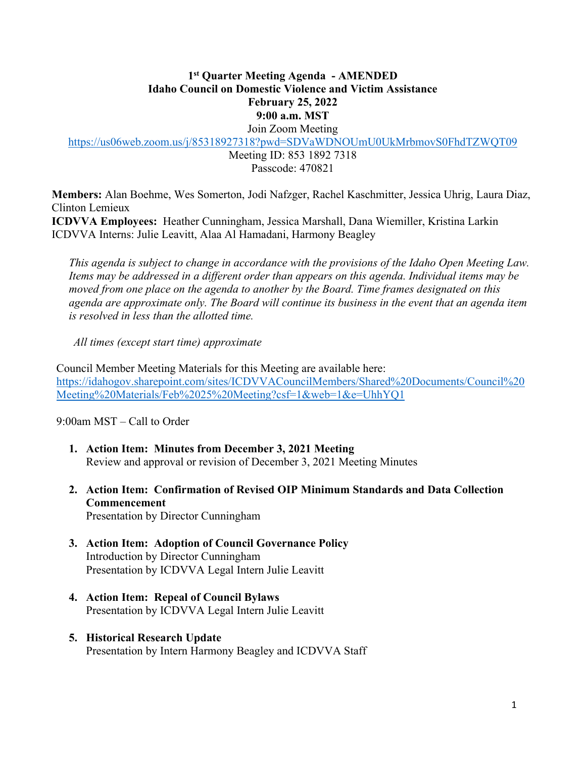# **1st Quarter Meeting Agenda - AMENDED Idaho Council on Domestic Violence and Victim Assistance February 25, 2022 9:00 a.m. MST**

Join Zoom Meeting

https://us06web.zoom.us/j/85318927318?pwd=SDVaWDNOUmU0UkMrbmovS0FhdTZWQT09

Meeting ID: 853 1892 7318 Passcode: 470821

**Members:** Alan Boehme, Wes Somerton, Jodi Nafzger, Rachel Kaschmitter, Jessica Uhrig, Laura Diaz, Clinton Lemieux **ICDVVA Employees:** Heather Cunningham, Jessica Marshall, Dana Wiemiller, Kristina Larkin

ICDVVA Interns: Julie Leavitt, Alaa Al Hamadani, Harmony Beagley

 *This agenda is subject to change in accordance with the provisions of the Idaho Open Meeting Law. Items may be addressed in a different order than appears on this agenda. Individual items may be moved from one place on the agenda to another by the Board. Time frames designated on this agenda are approximate only. The Board will continue its business in the event that an agenda item is resolved in less than the allotted time.* 

*All times (except start time) approximate* 

Council Member Meeting Materials for this Meeting are available here: https://idahogov.sharepoint.com/sites/ICDVVACouncilMembers/Shared%20Documents/Council%20 Meeting%20Materials/Feb%2025%20Meeting?csf=1&web=1&e=UhhYQ1

9:00am MST – Call to Order

- **1. Action Item: Minutes from December 3, 2021 Meeting**  Review and approval or revision of December 3, 2021 Meeting Minutes
- **2. Action Item: Confirmation of Revised OIP Minimum Standards and Data Collection Commencement**  Presentation by Director Cunningham
- **3. Action Item: Adoption of Council Governance Policy**  Introduction by Director Cunningham Presentation by ICDVVA Legal Intern Julie Leavitt
- **4. Action Item: Repeal of Council Bylaws**  Presentation by ICDVVA Legal Intern Julie Leavitt
- **5. Historical Research Update**  Presentation by Intern Harmony Beagley and ICDVVA Staff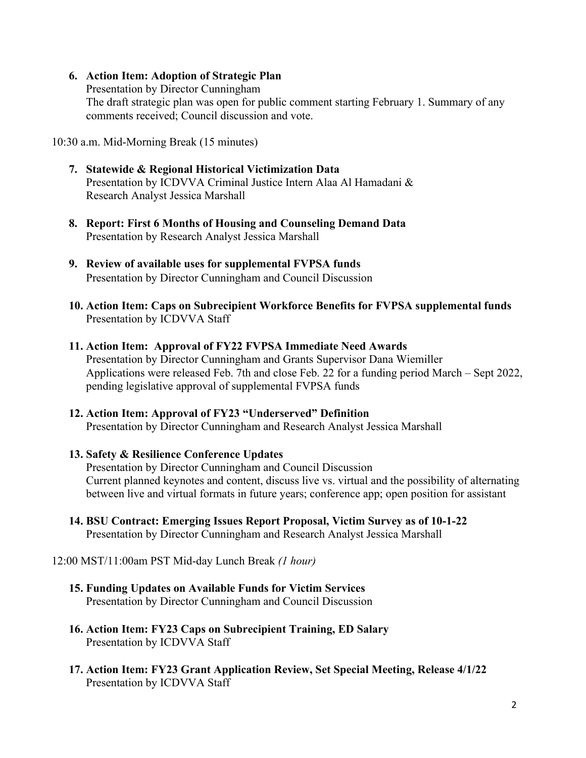#### **6. Action Item: Adoption of Strategic Plan**

Presentation by Director Cunningham The draft strategic plan was open for public comment starting February 1. Summary of any comments received; Council discussion and vote.

10:30 a.m. Mid-Morning Break (15 minutes)

- **7. Statewide & Regional Historical Victimization Data**  Presentation by ICDVVA Criminal Justice Intern Alaa Al Hamadani & Research Analyst Jessica Marshall
- **8. Report: First 6 Months of Housing and Counseling Demand Data**  Presentation by Research Analyst Jessica Marshall
- **9. Review of available uses for supplemental FVPSA funds**  Presentation by Director Cunningham and Council Discussion
- **10. Action Item: Caps on Subrecipient Workforce Benefits for FVPSA supplemental funds**  Presentation by ICDVVA Staff

# **11. Action Item: Approval of FY22 FVPSA Immediate Need Awards**

Presentation by Director Cunningham and Grants Supervisor Dana Wiemiller Applications were released Feb. 7th and close Feb. 22 for a funding period March – Sept 2022, pending legislative approval of supplemental FVPSA funds

# **12. Action Item: Approval of FY23 "Underserved" Definition**

Presentation by Director Cunningham and Research Analyst Jessica Marshall

#### **13. Safety & Resilience Conference Updates**

Presentation by Director Cunningham and Council Discussion Current planned keynotes and content, discuss live vs. virtual and the possibility of alternating between live and virtual formats in future years; conference app; open position for assistant

**14. BSU Contract: Emerging Issues Report Proposal, Victim Survey as of 10-1-22**  Presentation by Director Cunningham and Research Analyst Jessica Marshall

#### 12:00 MST/11:00am PST Mid-day Lunch Break *(1 hour)*

- **15. Funding Updates on Available Funds for Victim Services**  Presentation by Director Cunningham and Council Discussion
- **16. Action Item: FY23 Caps on Subrecipient Training, ED Salary**  Presentation by ICDVVA Staff
- **17. Action Item: FY23 Grant Application Review, Set Special Meeting, Release 4/1/22**  Presentation by ICDVVA Staff